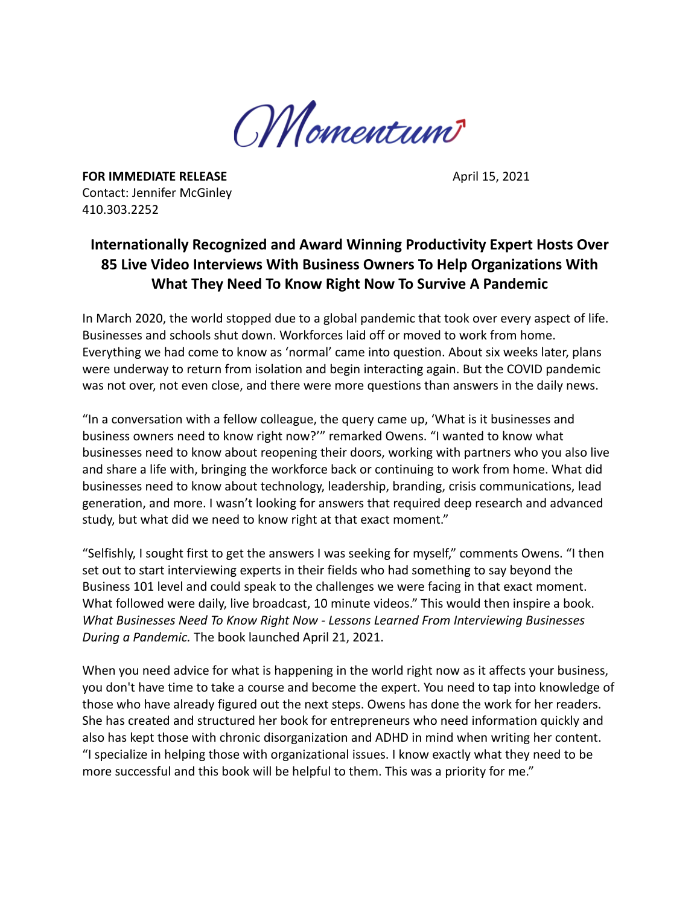

**FOR IMMEDIATE RELEASE April 15, 2021** Contact: Jennifer McGinley 410.303.2252

## **Internationally Recognized and Award Winning Productivity Expert Hosts Over 85 Live Video Interviews With Business Owners To Help Organizations With What They Need To Know Right Now To Survive A Pandemic**

In March 2020, the world stopped due to a global pandemic that took over every aspect of life. Businesses and schools shut down. Workforces laid off or moved to work from home. Everything we had come to know as 'normal' came into question. About six weeks later, plans were underway to return from isolation and begin interacting again. But the COVID pandemic was not over, not even close, and there were more questions than answers in the daily news.

"In a conversation with a fellow colleague, the query came up, 'What is it businesses and business owners need to know right now?'" remarked Owens. "I wanted to know what businesses need to know about reopening their doors, working with partners who you also live and share a life with, bringing the workforce back or continuing to work from home. What did businesses need to know about technology, leadership, branding, crisis communications, lead generation, and more. I wasn't looking for answers that required deep research and advanced study, but what did we need to know right at that exact moment."

"Selfishly, I sought first to get the answers I was seeking for myself," comments Owens. "I then set out to start interviewing experts in their fields who had something to say beyond the Business 101 level and could speak to the challenges we were facing in that exact moment. What followed were daily, live broadcast, 10 minute videos." This would then inspire a book. *What Businesses Need To Know Right Now - Lessons Learned From Interviewing Businesses During a Pandemic.* The book launched April 21, 2021.

When you need advice for what is happening in the world right now as it affects your business, you don't have time to take a course and become the expert. You need to tap into knowledge of those who have already figured out the next steps. Owens has done the work for her readers. She has created and structured her book for entrepreneurs who need information quickly and also has kept those with chronic disorganization and ADHD in mind when writing her content. "I specialize in helping those with organizational issues. I know exactly what they need to be more successful and this book will be helpful to them. This was a priority for me."